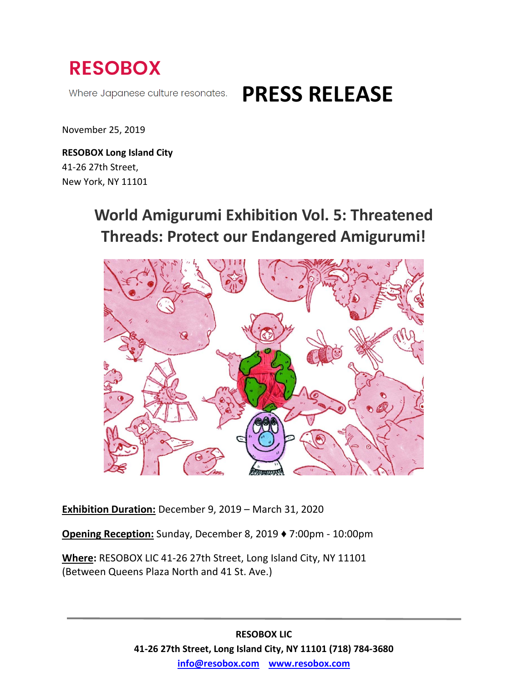

Where Japanese culture resonates.

# **PRESS RELEASE**

November 25, 2019

**RESOBOX Long Island City** 41-26 27th Street, New York, NY 11101

# **World Amigurumi Exhibition Vol. 5: Threatened Threads: Protect our Endangered Amigurumi!**



**Exhibition Duration:** December 9, 2019 – March 31, 2020

**Opening Reception:** Sunday, December 8, 2019 ♦ 7:00pm - 10:00pm

**Where:** RESOBOX LIC 41-26 27th Street, Long Island City, NY 11101 (Between Queens Plaza North and 41 St. Ave.)

> **RESOBOX LIC 41-26 27th Street, Long Island City, NY 11101 (718) 784-3680 [info@resobox.com](mailto:info@resobox.com) [www.resobox.com](http://www.resobox.com/)**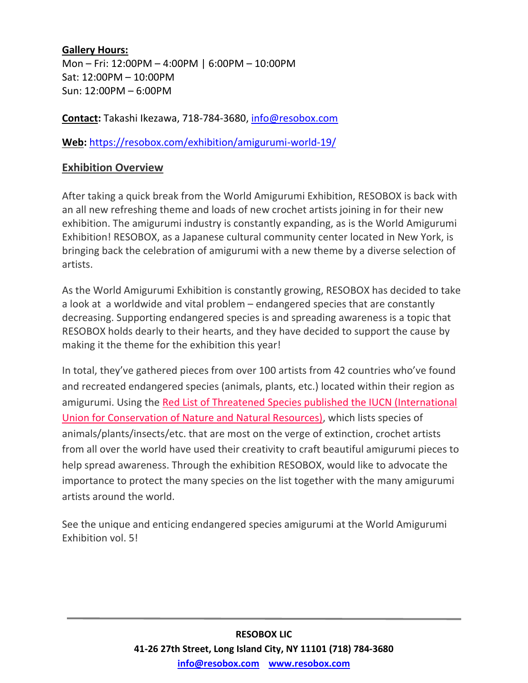#### **Gallery Hours:**

Mon – Fri: 12:00PM – 4:00PM | 6:00PM – 10:00PM Sat: 12:00PM – 10:00PM Sun: 12:00PM – 6:00PM

**Contact:** Takashi Ikezawa, 718-784-3680, [info@resobox.com](mailto:info@resobox.com)

**Web:** <https://resobox.com/exhibition/amigurumi-world-19/>

## **Exhibition Overview**

After taking a quick break from the World Amigurumi Exhibition, RESOBOX is back with an all new refreshing theme and loads of new crochet artists joining in for their new exhibition. The amigurumi industry is constantly expanding, as is the World Amigurumi Exhibition! RESOBOX, as a Japanese cultural community center located in New York, is bringing back the celebration of amigurumi with a new theme by a diverse selection of artists.

As the World Amigurumi Exhibition is constantly growing, RESOBOX has decided to take a look at a worldwide and vital problem – endangered species that are constantly decreasing. Supporting endangered species is and spreading awareness is a topic that RESOBOX holds dearly to their hearts, and they have decided to support the cause by making it the theme for the exhibition this year!

In total, they've gathered pieces from over 100 artists from 42 countries who've found and recreated endangered species (animals, plants, etc.) located within their region as amigurumi. Using the [Red List of Threatened Species published the IUCN \(International](https://www.iucnredlist.org/)  [Union for Conservation of Nature and Natural Resources\),](https://www.iucnredlist.org/) which lists species of animals/plants/insects/etc. that are most on the verge of extinction, crochet artists from all over the world have used their creativity to craft beautiful amigurumi pieces to help spread awareness. Through the exhibition RESOBOX, would like to advocate the importance to protect the many species on the list together with the many amigurumi artists around the world.

See the unique and enticing endangered species amigurumi at the World Amigurumi Exhibition vol. 5!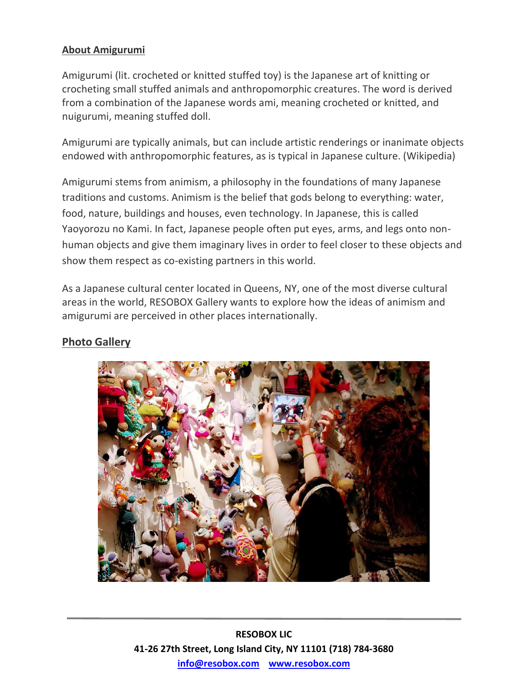## **About Amigurumi**

Amigurumi (lit. crocheted or knitted stuffed toy) is the Japanese art of knitting or crocheting small stuffed animals and anthropomorphic creatures. The word is derived from a combination of the Japanese words ami, meaning crocheted or knitted, and nuigurumi, meaning stuffed doll.

Amigurumi are typically animals, but can include artistic renderings or inanimate objects endowed with anthropomorphic features, as is typical in Japanese culture. (Wikipedia)

Amigurumi stems from animism, a philosophy in the foundations of many Japanese traditions and customs. Animism is the belief that gods belong to everything: water, food, nature, buildings and houses, even technology. In Japanese, this is called Yaoyorozu no Kami. In fact, Japanese people often put eyes, arms, and legs onto nonhuman objects and give them imaginary lives in order to feel closer to these objects and show them respect as co-existing partners in this world.

As a Japanese cultural center located in Queens, NY, one of the most diverse cultural areas in the world, RESOBOX Gallery wants to explore how the ideas of animism and amigurumi are perceived in other places internationally.

#### **Photo Gallery**